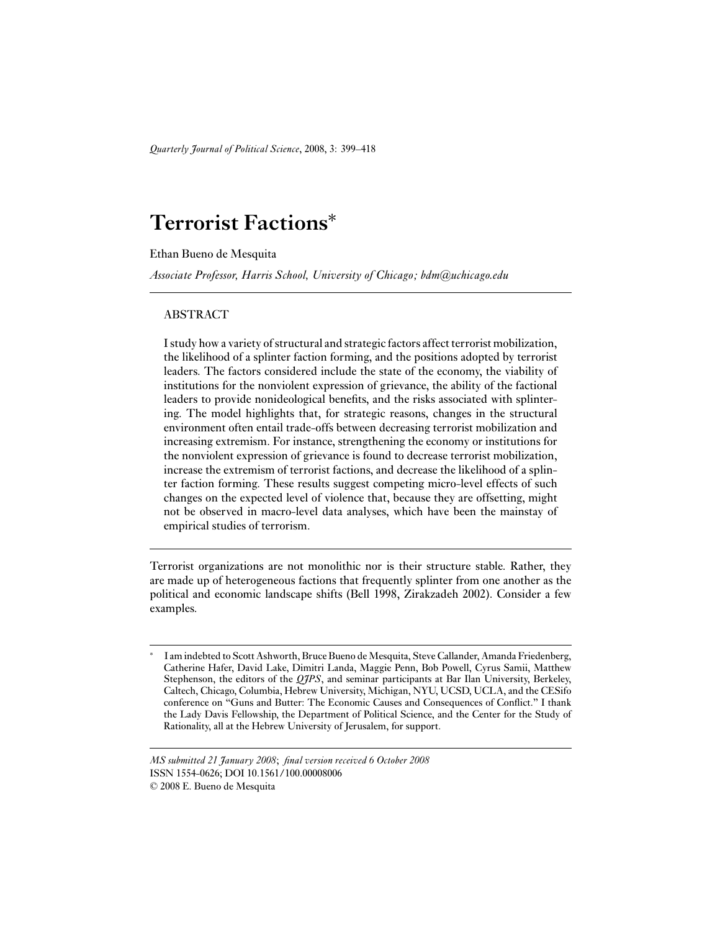*Quarterly Journal of Political Science*, 2008, 3: 399–418

# **Terrorist Factions**<sup>∗</sup>

Ethan Bueno de Mesquita

*Associate Professor, Harris School, University of Chicago; bdm@uchicago.edu*

#### ABSTRACT

I study how a variety of structural and strategic factors affect terrorist mobilization, the likelihood of a splinter faction forming, and the positions adopted by terrorist leaders. The factors considered include the state of the economy, the viability of institutions for the nonviolent expression of grievance, the ability of the factional leaders to provide nonideological benefits, and the risks associated with splintering. The model highlights that, for strategic reasons, changes in the structural environment often entail trade-offs between decreasing terrorist mobilization and increasing extremism. For instance, strengthening the economy or institutions for the nonviolent expression of grievance is found to decrease terrorist mobilization, increase the extremism of terrorist factions, and decrease the likelihood of a splinter faction forming. These results suggest competing micro-level effects of such changes on the expected level of violence that, because they are offsetting, might not be observed in macro-level data analyses, which have been the mainstay of empirical studies of terrorism.

Terrorist organizations are not monolithic nor is their structure stable. Rather, they are made up of heterogeneous factions that frequently splinter from one another as the political and economic landscape shifts (Bell 1998, Zirakzadeh 2002). Consider a few examples.

<sup>∗</sup> I am indebted to Scott Ashworth, Bruce Bueno de Mesquita, Steve Callander, Amanda Friedenberg, Catherine Hafer, David Lake, Dimitri Landa, Maggie Penn, Bob Powell, Cyrus Samii, Matthew Stephenson, the editors of the *QJPS*, and seminar participants at Bar Ilan University, Berkeley, Caltech, Chicago, Columbia, Hebrew University, Michigan, NYU, UCSD, UCLA, and the CESifo conference on "Guns and Butter: The Economic Causes and Consequences of Conflict." I thank the Lady Davis Fellowship, the Department of Political Science, and the Center for the Study of Rationality, all at the Hebrew University of Jerusalem, for support.

*MS submitted 21 January 2008*; *final version received 6 October 2008* ISSN 1554-0626; DOI 10.1561/100.00008006 © 2008 E. Bueno de Mesquita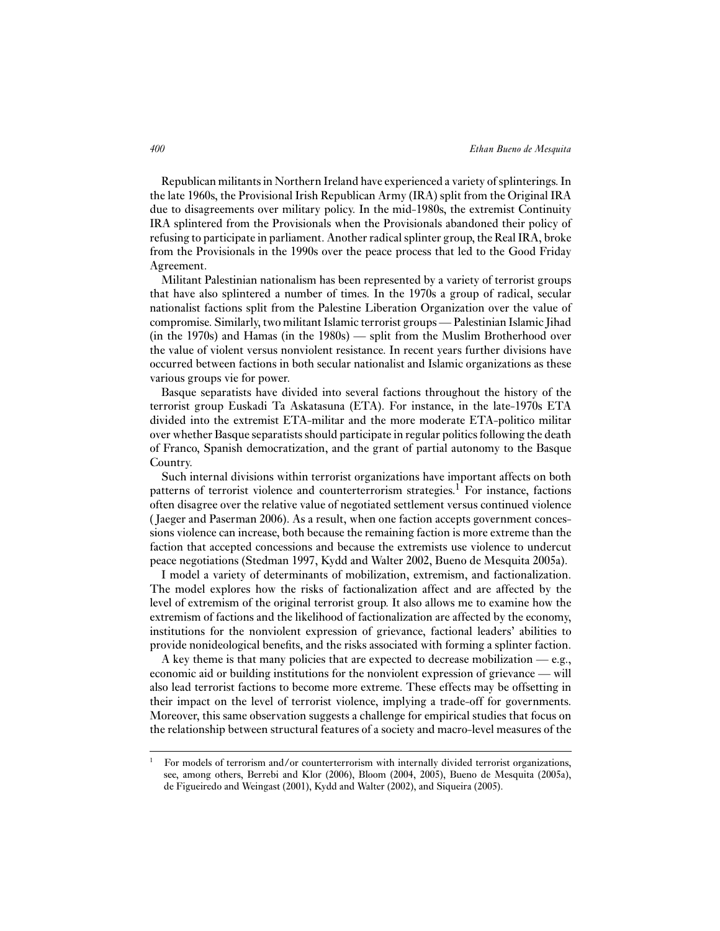Republican militants in Northern Ireland have experienced a variety of splinterings. In the late 1960s, the Provisional Irish Republican Army (IRA) split from the Original IRA due to disagreements over military policy. In the mid-1980s, the extremist Continuity IRA splintered from the Provisionals when the Provisionals abandoned their policy of refusing to participate in parliament. Another radical splinter group, the Real IRA, broke from the Provisionals in the 1990s over the peace process that led to the Good Friday Agreement.

Militant Palestinian nationalism has been represented by a variety of terrorist groups that have also splintered a number of times. In the 1970s a group of radical, secular nationalist factions split from the Palestine Liberation Organization over the value of compromise. Similarly, two militant Islamic terrorist groups — Palestinian Islamic Jihad (in the 1970s) and Hamas (in the 1980s) — split from the Muslim Brotherhood over the value of violent versus nonviolent resistance. In recent years further divisions have occurred between factions in both secular nationalist and Islamic organizations as these various groups vie for power.

Basque separatists have divided into several factions throughout the history of the terrorist group Euskadi Ta Askatasuna (ETA). For instance, in the late-1970s ETA divided into the extremist ETA-militar and the more moderate ETA-politico militar over whether Basque separatists should participate in regular politics following the death of Franco, Spanish democratization, and the grant of partial autonomy to the Basque Country.

Such internal divisions within terrorist organizations have important affects on both patterns of terrorist violence and counterterrorism strategies.<sup>1</sup> For instance, factions often disagree over the relative value of negotiated settlement versus continued violence ( Jaeger and Paserman 2006). As a result, when one faction accepts government concessions violence can increase, both because the remaining faction is more extreme than the faction that accepted concessions and because the extremists use violence to undercut peace negotiations (Stedman 1997, Kydd and Walter 2002, Bueno de Mesquita 2005a).

I model a variety of determinants of mobilization, extremism, and factionalization. The model explores how the risks of factionalization affect and are affected by the level of extremism of the original terrorist group. It also allows me to examine how the extremism of factions and the likelihood of factionalization are affected by the economy, institutions for the nonviolent expression of grievance, factional leaders' abilities to provide nonideological benefits, and the risks associated with forming a splinter faction.

A key theme is that many policies that are expected to decrease mobilization — e.g., economic aid or building institutions for the nonviolent expression of grievance — will also lead terrorist factions to become more extreme. These effects may be offsetting in their impact on the level of terrorist violence, implying a trade-off for governments. Moreover, this same observation suggests a challenge for empirical studies that focus on the relationship between structural features of a society and macro-level measures of the

<sup>1</sup> For models of terrorism and/or counterterrorism with internally divided terrorist organizations, see, among others, Berrebi and Klor (2006), Bloom (2004, 2005), Bueno de Mesquita (2005a), de Figueiredo and Weingast (2001), Kydd and Walter (2002), and Siqueira (2005).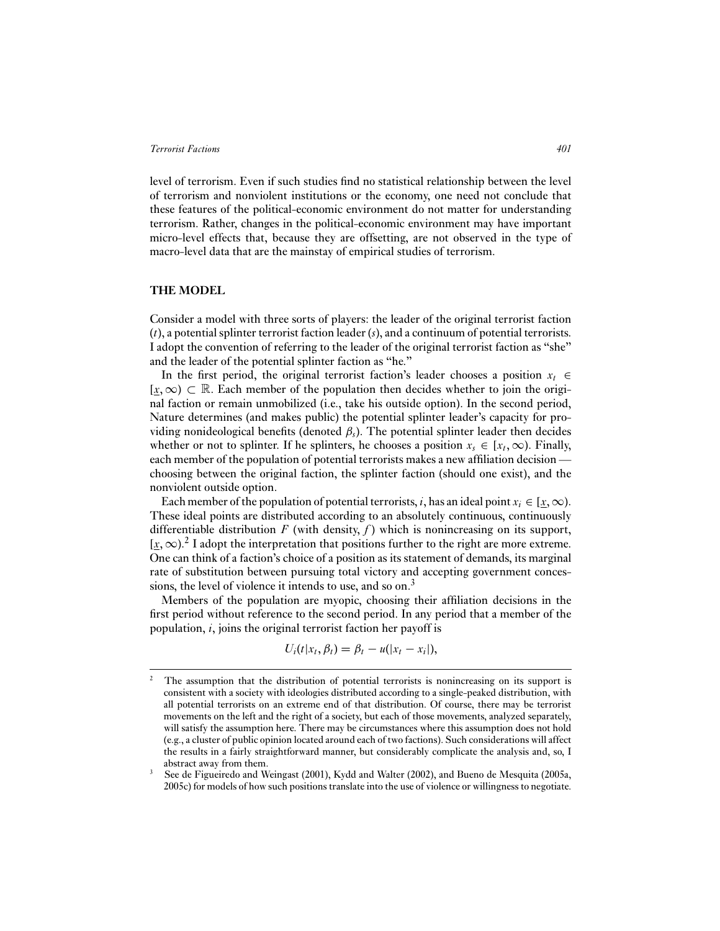level of terrorism. Even if such studies find no statistical relationship between the level of terrorism and nonviolent institutions or the economy, one need not conclude that these features of the political-economic environment do not matter for understanding terrorism. Rather, changes in the political-economic environment may have important micro-level effects that, because they are offsetting, are not observed in the type of macro-level data that are the mainstay of empirical studies of terrorism.

# **THE MODEL**

Consider a model with three sorts of players: the leader of the original terrorist faction (*t*), a potential splinter terrorist faction leader (*s*), and a continuum of potential terrorists. I adopt the convention of referring to the leader of the original terrorist faction as "she" and the leader of the potential splinter faction as "he."

In the first period, the original terrorist faction's leader chooses a position  $x_t$  ∈  $[x,\infty) \subset \mathbb{R}$ . Each member of the population then decides whether to join the original faction or remain unmobilized (i.e., take his outside option). In the second period, Nature determines (and makes public) the potential splinter leader's capacity for providing nonideological benefits (denoted β*s*). The potential splinter leader then decides whether or not to splinter. If he splinters, he chooses a position  $x_s \in [x_t, \infty)$ . Finally, each member of the population of potential terrorists makes a new affiliation decision choosing between the original faction, the splinter faction (should one exist), and the nonviolent outside option.

Each member of the population of potential terrorists, *i*, has an ideal point  $x_i \in [x, \infty)$ . These ideal points are distributed according to an absolutely continuous, continuously differentiable distribution  $F$  (with density,  $f$ ) which is nonincreasing on its support,  $[x,\infty)$ .<sup>2</sup> I adopt the interpretation that positions further to the right are more extreme. One can think of a faction's choice of a position as its statement of demands, its marginal rate of substitution between pursuing total victory and accepting government concessions, the level of violence it intends to use, and so on.<sup>3</sup>

Members of the population are myopic, choosing their affiliation decisions in the first period without reference to the second period. In any period that a member of the population, *i*, joins the original terrorist faction her payoff is

$$
U_i(t|x_t, \beta_t) = \beta_t - u(|x_t - x_i|),
$$

<sup>2</sup> The assumption that the distribution of potential terrorists is nonincreasing on its support is consistent with a society with ideologies distributed according to a single-peaked distribution, with all potential terrorists on an extreme end of that distribution. Of course, there may be terrorist movements on the left and the right of a society, but each of those movements, analyzed separately, will satisfy the assumption here. There may be circumstances where this assumption does not hold (e.g., a cluster of public opinion located around each of two factions). Such considerations will affect the results in a fairly straightforward manner, but considerably complicate the analysis and, so, I abstract away from them.

<sup>3</sup> See de Figueiredo and Weingast (2001), Kydd and Walter (2002), and Bueno de Mesquita (2005a, 2005c) for models of how such positions translate into the use of violence or willingness to negotiate.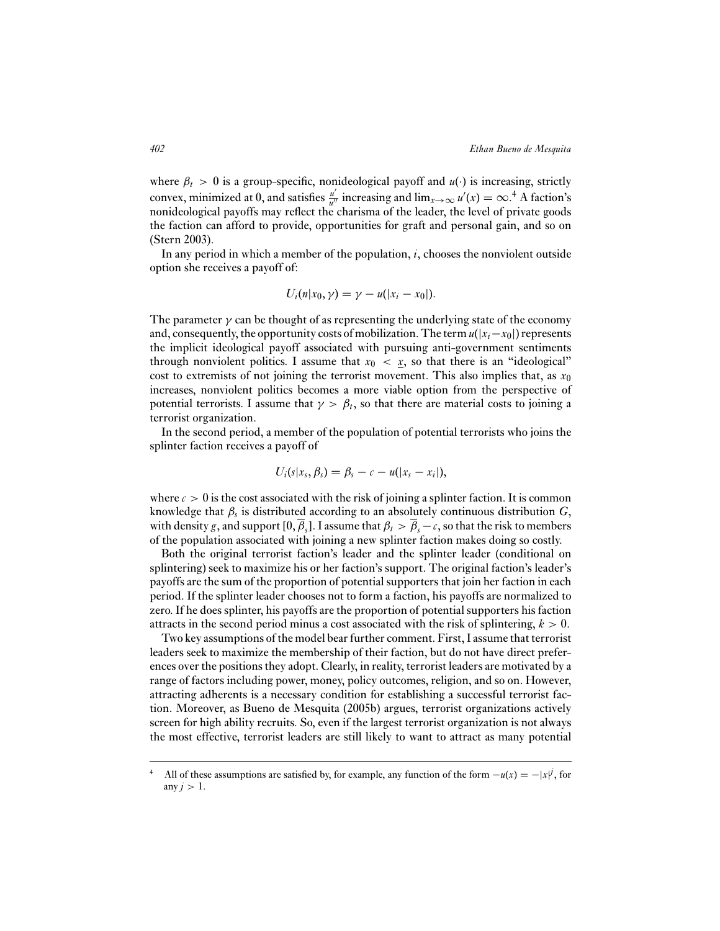where  $\beta_t > 0$  is a group-specific, nonideological payoff and  $u(\cdot)$  is increasing, strictly convex, minimized at 0, and satisfies  $\frac{u'}{u''}$  increasing and  $\lim_{x\to\infty} u'(x) = \infty$ .<sup>4</sup> A faction's nonideological payoffs may reflect the charisma of the leader, the level of private goods the faction can afford to provide, opportunities for graft and personal gain, and so on (Stern 2003).

In any period in which a member of the population, *i*, chooses the nonviolent outside option she receives a payoff of:

$$
U_i(n|x_0,\gamma)=\gamma-u(|x_i-x_0|).
$$

The parameter  $\gamma$  can be thought of as representing the underlying state of the economy and, consequently, the opportunity costs of mobilization. The term*u*(|*xi*−*x*0|) represents the implicit ideological payoff associated with pursuing anti-government sentiments through nonviolent politics. I assume that  $x_0 < x$ , so that there is an "ideological" cost to extremists of not joining the terrorist movement. This also implies that, as  $x_0$ increases, nonviolent politics becomes a more viable option from the perspective of potential terrorists. I assume that  $\gamma > \beta_t$ , so that there are material costs to joining a terrorist organization.

In the second period, a member of the population of potential terrorists who joins the splinter faction receives a payoff of

$$
U_i(s|x_s,\beta_s)=\beta_s-c-u(|x_s-x_i|),
$$

where  $c > 0$  is the cost associated with the risk of joining a splinter faction. It is common knowledge that  $\beta_5$  is distributed according to an absolutely continuous distribution *G*, with density *g*, and support  $[0, \overline{\beta}_s]$ . I assume that  $\beta_t > \overline{\beta}_s - c$ , so that the risk to members of the population associated with joining a new splinter faction makes doing so costly.

Both the original terrorist faction's leader and the splinter leader (conditional on splintering) seek to maximize his or her faction's support. The original faction's leader's payoffs are the sum of the proportion of potential supporters that join her faction in each period. If the splinter leader chooses not to form a faction, his payoffs are normalized to zero. If he does splinter, his payoffs are the proportion of potential supporters his faction attracts in the second period minus a cost associated with the risk of splintering,  $k > 0$ .

Two key assumptions of the model bear further comment. First, I assume that terrorist leaders seek to maximize the membership of their faction, but do not have direct preferences over the positions they adopt. Clearly, in reality, terrorist leaders are motivated by a range of factors including power, money, policy outcomes, religion, and so on. However, attracting adherents is a necessary condition for establishing a successful terrorist faction. Moreover, as Bueno de Mesquita (2005b) argues, terrorist organizations actively screen for high ability recruits. So, even if the largest terrorist organization is not always the most effective, terrorist leaders are still likely to want to attract as many potential

<sup>&</sup>lt;sup>4</sup> All of these assumptions are satisfied by, for example, any function of the form  $-u(x) = -|x|^j$ , for any  $j > 1$ .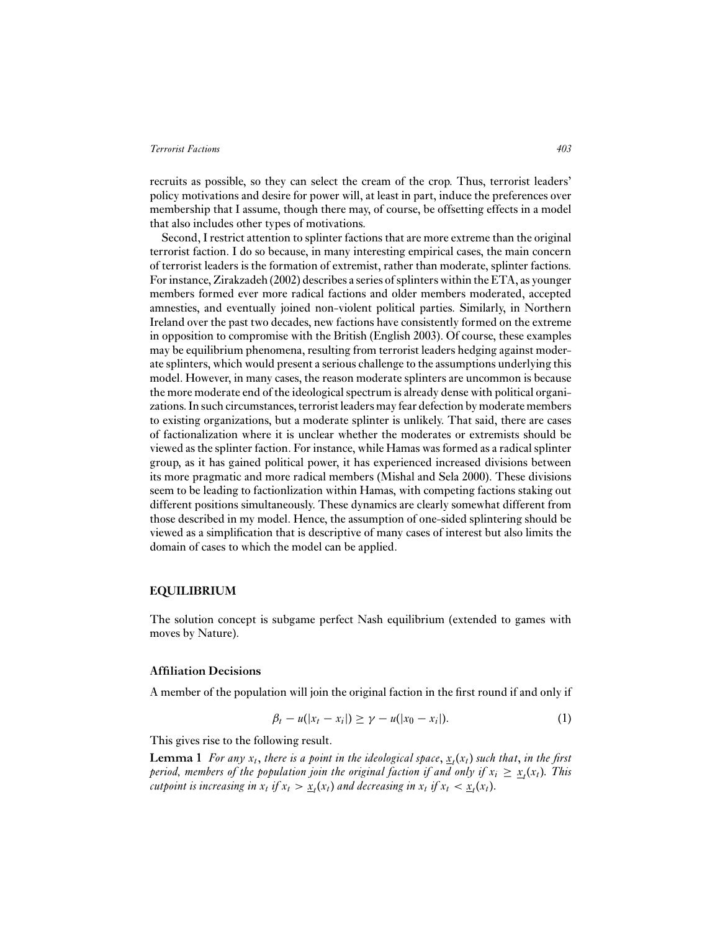recruits as possible, so they can select the cream of the crop. Thus, terrorist leaders' policy motivations and desire for power will, at least in part, induce the preferences over membership that I assume, though there may, of course, be offsetting effects in a model that also includes other types of motivations.

Second, I restrict attention to splinter factions that are more extreme than the original terrorist faction. I do so because, in many interesting empirical cases, the main concern of terrorist leaders is the formation of extremist, rather than moderate, splinter factions. For instance, Zirakzadeh (2002) describes a series of splinters within the ETA, as younger members formed ever more radical factions and older members moderated, accepted amnesties, and eventually joined non-violent political parties. Similarly, in Northern Ireland over the past two decades, new factions have consistently formed on the extreme in opposition to compromise with the British (English 2003). Of course, these examples may be equilibrium phenomena, resulting from terrorist leaders hedging against moderate splinters, which would present a serious challenge to the assumptions underlying this model. However, in many cases, the reason moderate splinters are uncommon is because the more moderate end of the ideological spectrum is already dense with political organizations. In such circumstances, terrorist leaders may fear defection by moderate members to existing organizations, but a moderate splinter is unlikely. That said, there are cases of factionalization where it is unclear whether the moderates or extremists should be viewed as the splinter faction. For instance, while Hamas was formed as a radical splinter group, as it has gained political power, it has experienced increased divisions between its more pragmatic and more radical members (Mishal and Sela 2000). These divisions seem to be leading to factionlization within Hamas, with competing factions staking out different positions simultaneously. These dynamics are clearly somewhat different from those described in my model. Hence, the assumption of one-sided splintering should be viewed as a simplification that is descriptive of many cases of interest but also limits the domain of cases to which the model can be applied.

#### **EQUILIBRIUM**

The solution concept is subgame perfect Nash equilibrium (extended to games with moves by Nature).

#### **Affiliation Decisions**

A member of the population will join the original faction in the first round if and only if

$$
\beta_t - u(|x_t - x_i|) \ge \gamma - u(|x_0 - x_i|). \tag{1}
$$

This gives rise to the following result.

**Lemma 1** For any  $x_t$ , there is a point in the ideological space,  $x_t(x_t)$  such that, in the first *period, members of the population join the original faction if and only if*  $x_i \ge x_t(x_t)$ *. This cutpoint is increasing in*  $x_t$  *if*  $x_t > x_t(x_t)$  *and decreasing in*  $x_t$  *if*  $x_t < x_t(x_t)$ .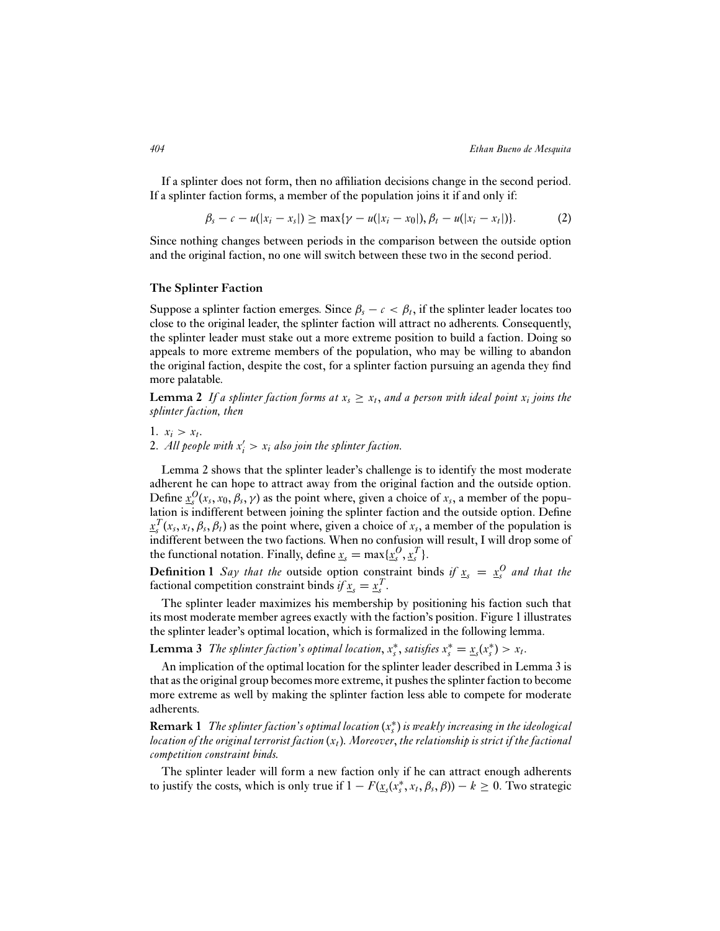If a splinter does not form, then no affiliation decisions change in the second period. If a splinter faction forms, a member of the population joins it if and only if:

$$
\beta_{s}-c-u(|x_{i}-x_{s}|)\geq \max\{\gamma-u(|x_{i}-x_{0}|),\beta_{t}-u(|x_{i}-x_{t}|)\}.
$$
 (2)

Since nothing changes between periods in the comparison between the outside option and the original faction, no one will switch between these two in the second period.

#### **The Splinter Faction**

Suppose a splinter faction emerges. Since  $\beta_s - c < \beta_t$ , if the splinter leader locates too close to the original leader, the splinter faction will attract no adherents. Consequently, the splinter leader must stake out a more extreme position to build a faction. Doing so appeals to more extreme members of the population, who may be willing to abandon the original faction, despite the cost, for a splinter faction pursuing an agenda they find more palatable.

**Lemma 2** If a splinter faction forms at  $x_s \geq x_t$ , and a person with ideal point  $x_i$  joins the *splinter faction, then*

1.  $x_i > x_t$ .

2. All people with  $x'_i > x_i$  also join the splinter faction.

Lemma 2 shows that the splinter leader's challenge is to identify the most moderate adherent he can hope to attract away from the original faction and the outside option. Define  $x_s^O(x_s, x_0, \beta_s, \gamma)$  as the point where, given a choice of  $x_s$ , a member of the population is indifferent between joining the splinter faction and the outside option. Define  $x_s^T(x_s, x_t, \beta_s, \beta_t)$  as the point where, given a choice of  $x_s$ , a member of the population is indifferent between the two factions. When no confusion will result, I will drop some of the functional notation. Finally, define  $x_s = \max\{x_s^O, x_s^T\}$ .

**Definition 1** *Say that the* outside option constraint binds *if*  $x_s = x_s^0$  *and that the* factional competition constraint binds  $if \underline{x}_s = \underline{x}_s^T$ .

The splinter leader maximizes his membership by positioning his faction such that its most moderate member agrees exactly with the faction's position. Figure 1 illustrates the splinter leader's optimal location, which is formalized in the following lemma.

**Lemma 3** *The splinter faction's optimal location,*  $x_s^*$ , *satisfies*  $x_s^* = x_s(x_s^*) > x_t$ .

An implication of the optimal location for the splinter leader described in Lemma 3 is that as the original group becomes more extreme, it pushes the splinter faction to become more extreme as well by making the splinter faction less able to compete for moderate adherents.

**Remark 1** *The splinter faction's optimal location* (*x*<sup>∗</sup> *<sup>s</sup>* ) *is weakly increasing in the ideological location of the original terrorist faction* (*xt*)*. Moreover*, *the relationship is strict if the factional competition constraint binds.*

The splinter leader will form a new faction only if he can attract enough adherents to justify the costs, which is only true if  $1 - F(\underline{x}_s(x_s^*, x_t, \beta_s, \beta)) - k \ge 0$ . Two strategic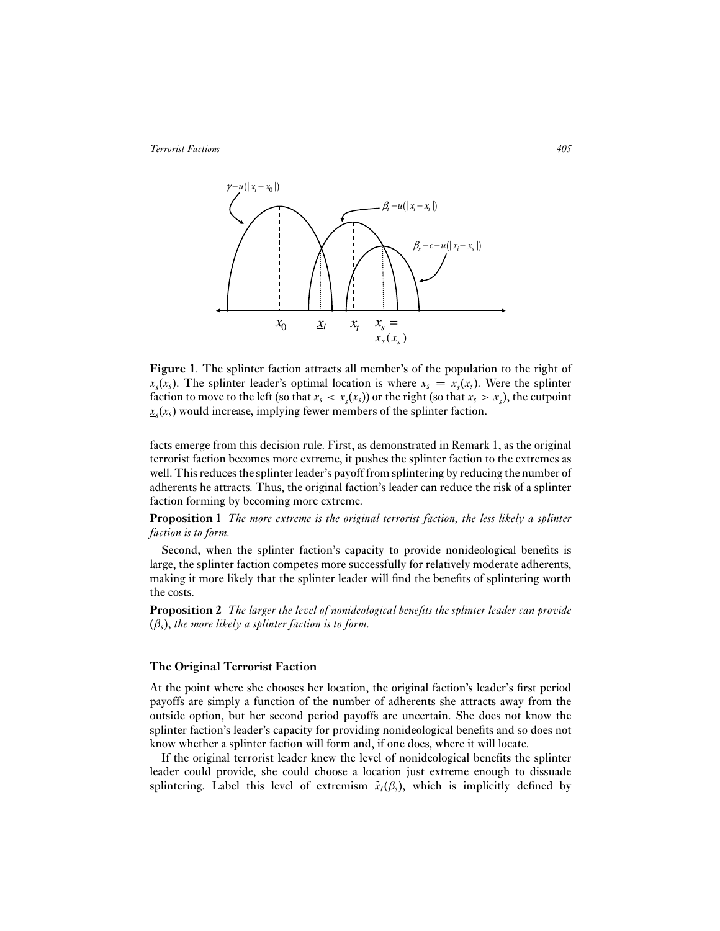

**Figure 1**. The splinter faction attracts all member's of the population to the right of  $x_s(x_s)$ . The splinter leader's optimal location is where  $x_s = x_s(x_s)$ . Were the splinter faction to move to the left (so that  $x_s < x_s(x_s)$ ) or the right (so that  $x_s > x_s$ ), the cutpoint  $x<sub>s</sub>(x<sub>s</sub>)$  would increase, implying fewer members of the splinter faction.

facts emerge from this decision rule. First, as demonstrated in Remark 1, as the original terrorist faction becomes more extreme, it pushes the splinter faction to the extremes as well. This reduces the splinter leader's payoff from splintering by reducing the number of adherents he attracts. Thus, the original faction's leader can reduce the risk of a splinter faction forming by becoming more extreme.

**Proposition 1** *The more extreme is the original terrorist faction, the less likely a splinter faction is to form.*

Second, when the splinter faction's capacity to provide nonideological benefits is large, the splinter faction competes more successfully for relatively moderate adherents, making it more likely that the splinter leader will find the benefits of splintering worth the costs.

**Proposition 2** *The larger the level of nonideological benefits the splinter leader can provide* (β*s*), *the more likely a splinter faction is to form.*

#### **The Original Terrorist Faction**

At the point where she chooses her location, the original faction's leader's first period payoffs are simply a function of the number of adherents she attracts away from the outside option, but her second period payoffs are uncertain. She does not know the splinter faction's leader's capacity for providing nonideological benefits and so does not know whether a splinter faction will form and, if one does, where it will locate.

If the original terrorist leader knew the level of nonideological benefits the splinter leader could provide, she could choose a location just extreme enough to dissuade splintering. Label this level of extremism  $\tilde{x}_t(\beta_s)$ , which is implicitly defined by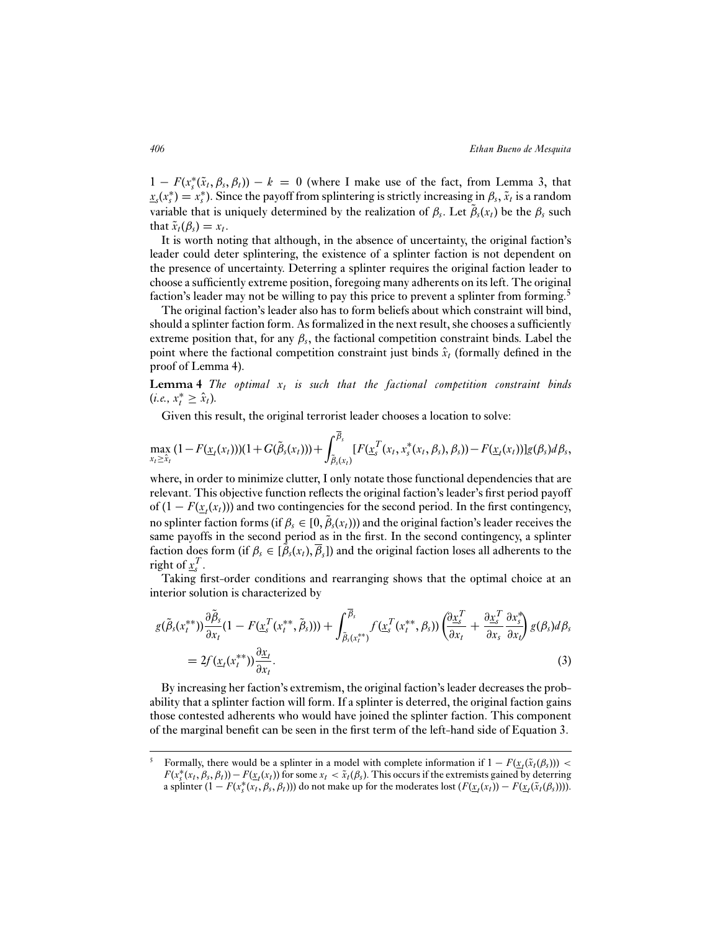$1 - F(x_s^*(\tilde{x}_t, \beta_s, \beta_t)) - k = 0$  (where I make use of the fact, from Lemma 3, that  $x_s(x_s^*) = x_s^*$ ). Since the payoff from splintering is strictly increasing in  $\beta_s$ ,  $\tilde{x}_t$  is a random variable that is uniquely determined by the realization of  $\beta_s$ . Let  $\tilde{\beta}_s(x_t)$  be the  $\beta_s$  such that  $\tilde{x}_t(\beta_s) = x_t$ .

It is worth noting that although, in the absence of uncertainty, the original faction's leader could deter splintering, the existence of a splinter faction is not dependent on the presence of uncertainty. Deterring a splinter requires the original faction leader to choose a sufficiently extreme position, foregoing many adherents on its left. The original faction's leader may not be willing to pay this price to prevent a splinter from forming.<sup>5</sup>

The original faction's leader also has to form beliefs about which constraint will bind, should a splinter faction form. As formalized in the next result, she chooses a sufficiently extreme position that, for any  $\beta_s$ , the factional competition constraint binds. Label the point where the factional competition constraint just binds  $\hat{x}_t$  (formally defined in the proof of Lemma 4).

**Lemma 4** *The optimal*  $x_t$  *is such that the factional competition constraint binds*  $(i.e., x_t^* \geq \hat{x}_t).$ 

Given this result, the original terrorist leader chooses a location to solve:

$$
\max_{x_t \geq \hat{x}_t} (1 - F(\underline{x}_t(x_t)))(1 + G(\tilde{\beta}_s(x_t))) + \int_{\tilde{\beta}_s(x_t)}^{\tilde{\beta}_s} [F(\underline{x}_s^T(x_t, x_s^*(x_t, \beta_s), \beta_s)) - F(\underline{x}_t(x_t))]g(\beta_s)d\beta_s,
$$

where, in order to minimize clutter, I only notate those functional dependencies that are relevant. This objective function reflects the original faction's leader's first period payoff of  $(1 - F(x_t(x_t)))$  and two contingencies for the second period. In the first contingency, no splinter faction forms (if  $\beta_s \in [0, \tilde{\beta}_s(x_t))$ ) and the original faction's leader receives the same payoffs in the second period as in the first. In the second contingency, a splinter faction does form (if  $\beta_s \in [\tilde{\beta}_s(x_t), \overline{\beta}_s]$ ) and the original faction loses all adherents to the right of  $x_s^T$ .

Taking first-order conditions and rearranging shows that the optimal choice at an interior solution is characterized by

$$
g(\tilde{\beta}_{s}(x_{t}^{**}))\frac{\partial \tilde{\beta}_{s}}{\partial x_{t}}(1 - F(\underline{x}_{s}^{T}(x_{t}^{**}, \tilde{\beta}_{s}))) + \int_{\tilde{\beta}_{s}(x_{t}^{**})}^{\tilde{\beta}_{s}} f(\underline{x}_{s}^{T}(x_{t}^{**}, \beta_{s})) \left(\frac{\partial \underline{x}_{s}^{T}}{\partial x_{t}} + \frac{\partial \underline{x}_{s}^{T}}{\partial x_{s}} \frac{\partial x_{s}^{*}}{\partial x_{t}}\right) g(\beta_{s}) d\beta_{s}
$$
  
=  $2f(\underline{x}_{t}(x_{t}^{**})) \frac{\partial \underline{x}_{t}}{\partial x_{t}}.$  (3)

By increasing her faction's extremism, the original faction's leader decreases the probability that a splinter faction will form. If a splinter is deterred, the original faction gains those contested adherents who would have joined the splinter faction. This component of the marginal benefit can be seen in the first term of the left-hand side of Equation 3.

Formally, there would be a splinter in a model with complete information if  $1 - F(x_t(\tilde{x}_t(\beta_s)))$  <  $F(x_s^*(x_t, \beta_s, \beta_t)) - F(\underline{x}_t(x_t))$  for some  $x_t < \tilde{x}_t(\beta_s)$ . This occurs if the extremists gained by deterring a splinter  $(1 - F(x_s^*(x_t, \beta_s, \beta_t)))$  do not make up for the moderates lost  $(F(\underline{x}_t(x_t)) - F(\underline{x}_t(\tilde{x}_t(\beta_s))))$ .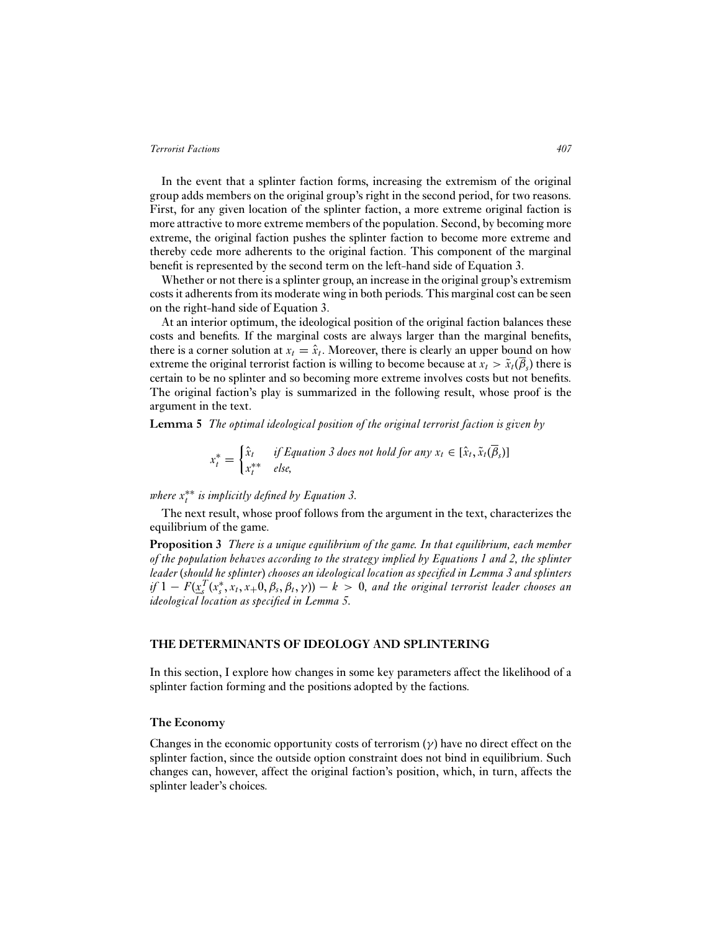In the event that a splinter faction forms, increasing the extremism of the original group adds members on the original group's right in the second period, for two reasons. First, for any given location of the splinter faction, a more extreme original faction is more attractive to more extreme members of the population. Second, by becoming more extreme, the original faction pushes the splinter faction to become more extreme and thereby cede more adherents to the original faction. This component of the marginal benefit is represented by the second term on the left-hand side of Equation 3.

Whether or not there is a splinter group, an increase in the original group's extremism costs it adherents from its moderate wing in both periods. This marginal cost can be seen on the right-hand side of Equation 3.

At an interior optimum, the ideological position of the original faction balances these costs and benefits. If the marginal costs are always larger than the marginal benefits, there is a corner solution at  $x_t = \hat{x}_t$ . Moreover, there is clearly an upper bound on how extreme the original terrorist faction is willing to become because at  $x_t > \tilde{x}_t(\beta)$ , there is certain to be no splinter and so becoming more extreme involves costs but not benefits. The original faction's play is summarized in the following result, whose proof is the argument in the text.

**Lemma 5** *The optimal ideological position of the original terrorist faction is given by*

$$
x_t^* = \begin{cases} \hat{x}_t & \text{if Equation 3 does not hold for any } x_t \in [\hat{x}_t, \tilde{x}_t(\overline{\beta}_s)] \\ x_t^{**} & \text{else,} \end{cases}
$$

*where x*∗∗ *<sup>t</sup> is implicitly defined by Equation 3.*

The next result, whose proof follows from the argument in the text, characterizes the equilibrium of the game.

**Proposition 3** *There is a unique equilibrium of the game. In that equilibrium, each member of the population behaves according to the strategy implied by Equations 1 and 2, the splinter leader* (*should he splinter*) *chooses an ideological location as specified in Lemma 3 and splinters if*  $1 - F(\underline{x}_s^T(x_s^*, x_t, x_+, 0, \beta_s, \beta_t, \gamma)) - k > 0$ , and the original terrorist leader chooses an *ideological location as specified in Lemma 5.*

# **THE DETERMINANTS OF IDEOLOGY AND SPLINTERING**

In this section, I explore how changes in some key parameters affect the likelihood of a splinter faction forming and the positions adopted by the factions.

## **The Economy**

Changes in the economic opportunity costs of terrorism  $(\gamma)$  have no direct effect on the splinter faction, since the outside option constraint does not bind in equilibrium. Such changes can, however, affect the original faction's position, which, in turn, affects the splinter leader's choices.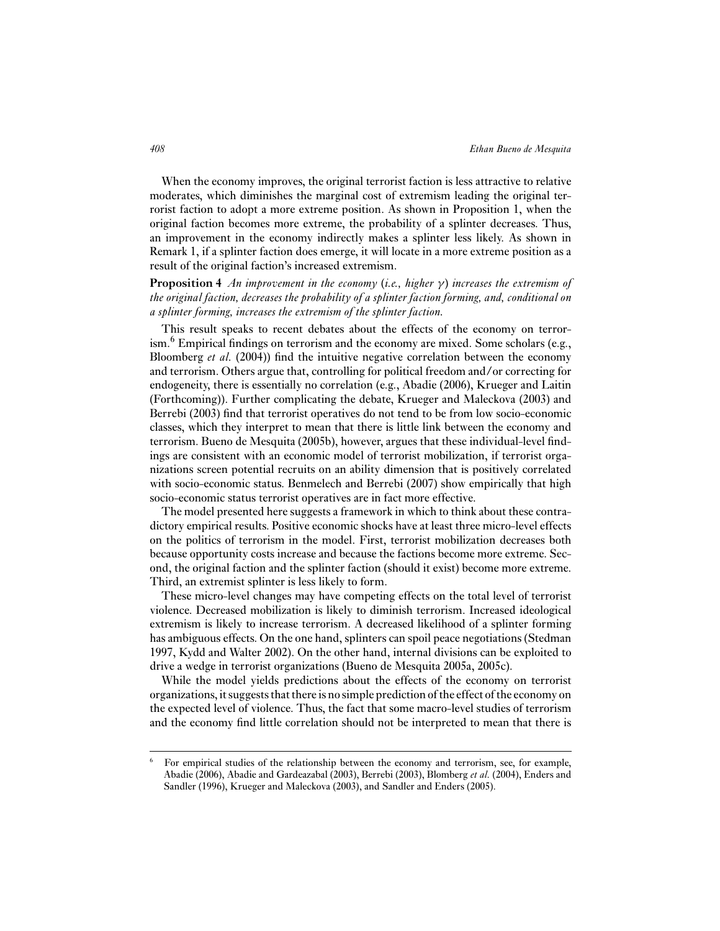When the economy improves, the original terrorist faction is less attractive to relative moderates, which diminishes the marginal cost of extremism leading the original terrorist faction to adopt a more extreme position. As shown in Proposition 1, when the original faction becomes more extreme, the probability of a splinter decreases. Thus, an improvement in the economy indirectly makes a splinter less likely. As shown in Remark 1, if a splinter faction does emerge, it will locate in a more extreme position as a result of the original faction's increased extremism.

**Proposition 4** *An improvement in the economy* (*i.e., higher* γ) *increases the extremism of the original faction, decreases the probability of a splinter faction forming, and, conditional on a splinter forming, increases the extremism of the splinter faction.*

This result speaks to recent debates about the effects of the economy on terrorism.6 Empirical findings on terrorism and the economy are mixed. Some scholars (e.g., Bloomberg *et al.* (2004)) find the intuitive negative correlation between the economy and terrorism. Others argue that, controlling for political freedom and/or correcting for endogeneity, there is essentially no correlation (e.g., Abadie (2006), Krueger and Laitin (Forthcoming)). Further complicating the debate, Krueger and Maleckova (2003) and Berrebi (2003) find that terrorist operatives do not tend to be from low socio-economic classes, which they interpret to mean that there is little link between the economy and terrorism. Bueno de Mesquita (2005b), however, argues that these individual-level findings are consistent with an economic model of terrorist mobilization, if terrorist organizations screen potential recruits on an ability dimension that is positively correlated with socio-economic status. Benmelech and Berrebi (2007) show empirically that high socio-economic status terrorist operatives are in fact more effective.

The model presented here suggests a framework in which to think about these contradictory empirical results. Positive economic shocks have at least three micro-level effects on the politics of terrorism in the model. First, terrorist mobilization decreases both because opportunity costs increase and because the factions become more extreme. Second, the original faction and the splinter faction (should it exist) become more extreme. Third, an extremist splinter is less likely to form.

These micro-level changes may have competing effects on the total level of terrorist violence. Decreased mobilization is likely to diminish terrorism. Increased ideological extremism is likely to increase terrorism. A decreased likelihood of a splinter forming has ambiguous effects. On the one hand, splinters can spoil peace negotiations (Stedman 1997, Kydd and Walter 2002). On the other hand, internal divisions can be exploited to drive a wedge in terrorist organizations (Bueno de Mesquita 2005a, 2005c).

While the model yields predictions about the effects of the economy on terrorist organizations, it suggests that there is no simple prediction of the effect of the economy on the expected level of violence. Thus, the fact that some macro-level studies of terrorism and the economy find little correlation should not be interpreted to mean that there is

<sup>&</sup>lt;sup>6</sup> For empirical studies of the relationship between the economy and terrorism, see, for example, Abadie (2006), Abadie and Gardeazabal (2003), Berrebi (2003), Blomberg *et al.* (2004), Enders and Sandler (1996), Krueger and Maleckova (2003), and Sandler and Enders (2005).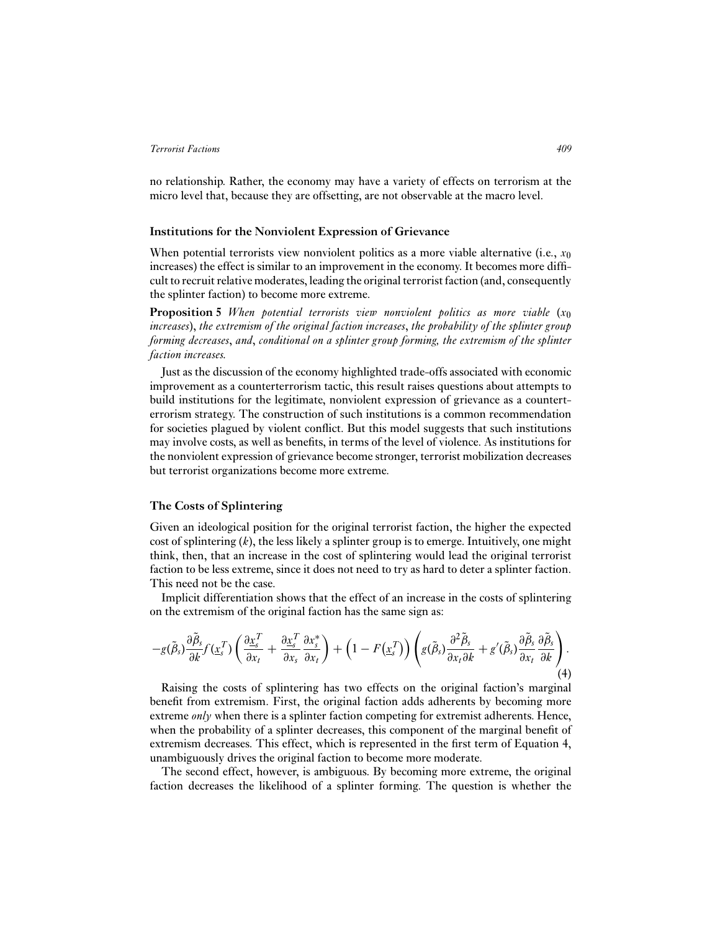no relationship. Rather, the economy may have a variety of effects on terrorism at the micro level that, because they are offsetting, are not observable at the macro level.

#### **Institutions for the Nonviolent Expression of Grievance**

When potential terrorists view nonviolent politics as a more viable alternative (i.e.,  $x_0$ ) increases) the effect is similar to an improvement in the economy. It becomes more difficult to recruit relative moderates, leading the original terrorist faction (and, consequently the splinter faction) to become more extreme.

**Proposition 5** *When potential terrorists view nonviolent politics as more viable* (*x*<sup>0</sup> *increases*), *the extremism of the original faction increases*, *the probability of the splinter group forming decreases*, *and*, *conditional on a splinter group forming, the extremism of the splinter faction increases.*

Just as the discussion of the economy highlighted trade-offs associated with economic improvement as a counterterrorism tactic, this result raises questions about attempts to build institutions for the legitimate, nonviolent expression of grievance as a counterterrorism strategy. The construction of such institutions is a common recommendation for societies plagued by violent conflict. But this model suggests that such institutions may involve costs, as well as benefits, in terms of the level of violence. As institutions for the nonviolent expression of grievance become stronger, terrorist mobilization decreases but terrorist organizations become more extreme.

#### **The Costs of Splintering**

Given an ideological position for the original terrorist faction, the higher the expected cost of splintering  $(k)$ , the less likely a splinter group is to emerge. Intuitively, one might think, then, that an increase in the cost of splintering would lead the original terrorist faction to be less extreme, since it does not need to try as hard to deter a splinter faction. This need not be the case.

Implicit differentiation shows that the effect of an increase in the costs of splintering on the extremism of the original faction has the same sign as:

$$
-g(\tilde{\beta}_{s})\frac{\partial\tilde{\beta}_{s}}{\partial k}f(\underline{x}_{s}^{T})\left(\frac{\partial\underline{x}_{s}^{T}}{\partial x_{t}}+\frac{\partial\underline{x}_{s}^{T}}{\partial x_{s}}\frac{\partial x_{s}^{*}}{\partial x_{t}}\right)+\left(1-F(\underline{x}_{s}^{T})\right)\left(g(\tilde{\beta}_{s})\frac{\partial^{2}\tilde{\beta}_{s}}{\partial x_{t}\partial k}+g'(\tilde{\beta}_{s})\frac{\partial\tilde{\beta}_{s}}{\partial x_{t}}\frac{\partial\tilde{\beta}_{s}}{\partial k}\right).
$$
\n(4)

Raising the costs of splintering has two effects on the original faction's marginal benefit from extremism. First, the original faction adds adherents by becoming more extreme *only* when there is a splinter faction competing for extremist adherents. Hence, when the probability of a splinter decreases, this component of the marginal benefit of extremism decreases. This effect, which is represented in the first term of Equation 4, unambiguously drives the original faction to become more moderate.

The second effect, however, is ambiguous. By becoming more extreme, the original faction decreases the likelihood of a splinter forming. The question is whether the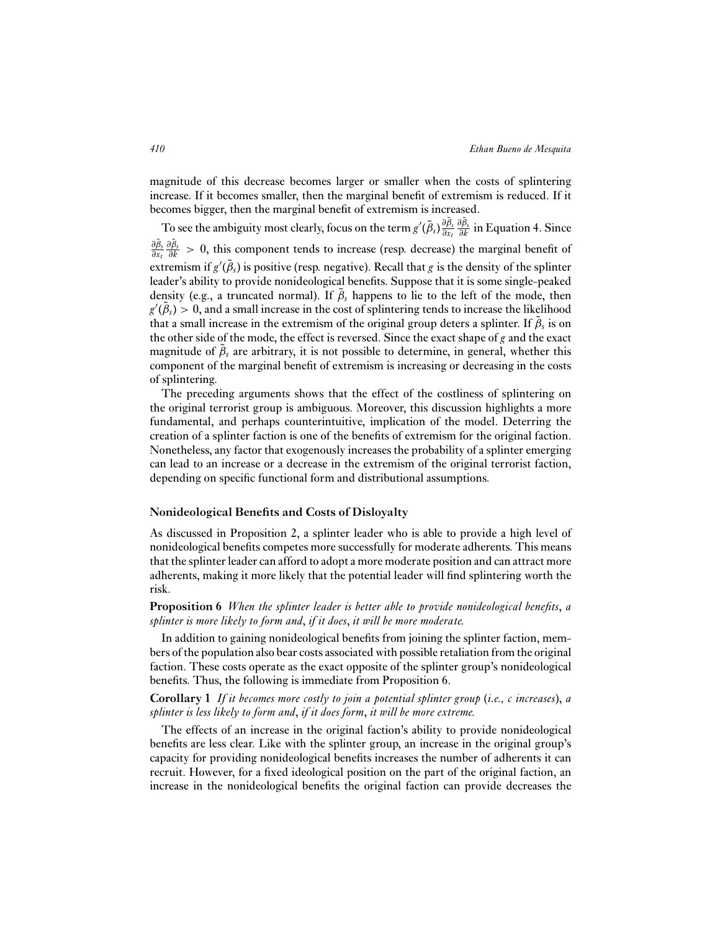magnitude of this decrease becomes larger or smaller when the costs of splintering increase. If it becomes smaller, then the marginal benefit of extremism is reduced. If it becomes bigger, then the marginal benefit of extremism is increased.

To see the ambiguity most clearly, focus on the term  $g'(\tilde{\beta}_s) \frac{\partial \tilde{\beta}_s}{\partial x'}$ ∂*xt*  $\frac{\partial \tilde{\beta}_s}{\partial k}$  in Equation 4. Since  $\partial \tilde{\beta}_s$ ∂*xt*  $\frac{\partial \tilde{\beta}_s}{\partial k} > 0$ , this component tends to increase (resp. decrease) the marginal benefit of extremism if  $g'(\tilde{\beta}_s)$  is positive (resp. negative). Recall that *g* is the density of the splinter leader's ability to provide nonideological benefits. Suppose that it is some single-peaked density (e.g., a truncated normal). If  $\beta_s$  happens to lie to the left of the mode, then  $g'(\tilde{\beta}_s) > 0$ , and a small increase in the cost of splintering tends to increase the likelihood that a small increase in the extremism of the original group deters a splinter. If  $\tilde{\beta}_s$  is on the other side of the mode, the effect is reversed. Since the exact shape of *g* and the exact magnitude of  $\tilde{\beta}_s$  are arbitrary, it is not possible to determine, in general, whether this component of the marginal benefit of extremism is increasing or decreasing in the costs of splintering.

The preceding arguments shows that the effect of the costliness of splintering on the original terrorist group is ambiguous. Moreover, this discussion highlights a more fundamental, and perhaps counterintuitive, implication of the model. Deterring the creation of a splinter faction is one of the benefits of extremism for the original faction. Nonetheless, any factor that exogenously increases the probability of a splinter emerging can lead to an increase or a decrease in the extremism of the original terrorist faction, depending on specific functional form and distributional assumptions.

#### **Nonideological Benefits and Costs of Disloyalty**

As discussed in Proposition 2, a splinter leader who is able to provide a high level of nonideological benefits competes more successfully for moderate adherents. This means that the splinter leader can afford to adopt a more moderate position and can attract more adherents, making it more likely that the potential leader will find splintering worth the risk.

**Proposition 6** *When the splinter leader is better able to provide nonideological benefits*, *a splinter is more likely to form and*, *if it does*, *it will be more moderate.*

In addition to gaining nonideological benefits from joining the splinter faction, members of the population also bear costs associated with possible retaliation from the original faction. These costs operate as the exact opposite of the splinter group's nonideological benefits. Thus, the following is immediate from Proposition 6.

**Corollary 1** *If it becomes more costly to join a potential splinter group* (*i.e., c increases*), *a splinter is less likely to form and*, *if it does form*, *it will be more extreme.*

The effects of an increase in the original faction's ability to provide nonideological benefits are less clear. Like with the splinter group, an increase in the original group's capacity for providing nonideological benefits increases the number of adherents it can recruit. However, for a fixed ideological position on the part of the original faction, an increase in the nonideological benefits the original faction can provide decreases the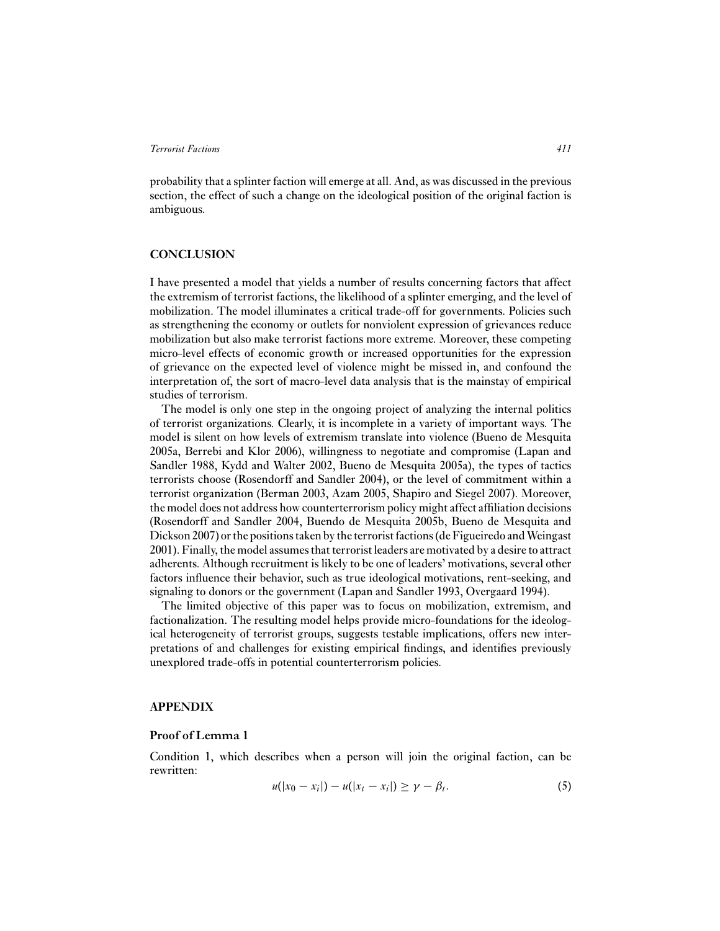probability that a splinter faction will emerge at all. And, as was discussed in the previous section, the effect of such a change on the ideological position of the original faction is ambiguous.

## **CONCLUSION**

I have presented a model that yields a number of results concerning factors that affect the extremism of terrorist factions, the likelihood of a splinter emerging, and the level of mobilization. The model illuminates a critical trade-off for governments. Policies such as strengthening the economy or outlets for nonviolent expression of grievances reduce mobilization but also make terrorist factions more extreme. Moreover, these competing micro-level effects of economic growth or increased opportunities for the expression of grievance on the expected level of violence might be missed in, and confound the interpretation of, the sort of macro-level data analysis that is the mainstay of empirical studies of terrorism.

The model is only one step in the ongoing project of analyzing the internal politics of terrorist organizations. Clearly, it is incomplete in a variety of important ways. The model is silent on how levels of extremism translate into violence (Bueno de Mesquita 2005a, Berrebi and Klor 2006), willingness to negotiate and compromise (Lapan and Sandler 1988, Kydd and Walter 2002, Bueno de Mesquita 2005a), the types of tactics terrorists choose (Rosendorff and Sandler 2004), or the level of commitment within a terrorist organization (Berman 2003, Azam 2005, Shapiro and Siegel 2007). Moreover, the model does not address how counterterrorism policy might affect affiliation decisions (Rosendorff and Sandler 2004, Buendo de Mesquita 2005b, Bueno de Mesquita and Dickson 2007) or the positions taken by the terrorist factions (de Figueiredo and Weingast 2001). Finally, the model assumes that terrorist leaders are motivated by a desire to attract adherents. Although recruitment is likely to be one of leaders' motivations, several other factors influence their behavior, such as true ideological motivations, rent-seeking, and signaling to donors or the government (Lapan and Sandler 1993, Overgaard 1994).

The limited objective of this paper was to focus on mobilization, extremism, and factionalization. The resulting model helps provide micro-foundations for the ideological heterogeneity of terrorist groups, suggests testable implications, offers new interpretations of and challenges for existing empirical findings, and identifies previously unexplored trade-offs in potential counterterrorism policies.

#### **APPENDIX**

# **Proof of Lemma 1**

Condition 1, which describes when a person will join the original faction, can be rewritten:

$$
u(|x_0 - x_i|) - u(|x_t - x_i|) \ge \gamma - \beta_t.
$$
 (5)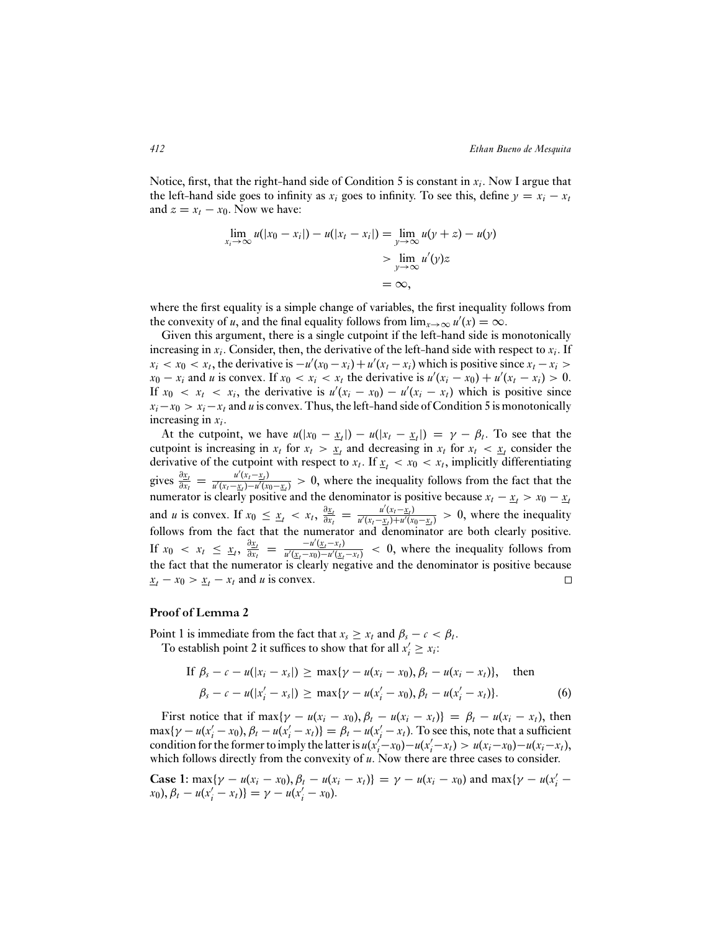Notice, first, that the right-hand side of Condition 5 is constant in  $x_i$ . Now I argue that the left-hand side goes to infinity as  $x_i$  goes to infinity. To see this, define  $y = x_i - x_t$ and  $z = x_t - x_0$ . Now we have:

$$
\lim_{x_i \to \infty} u(|x_0 - x_i|) - u(|x_t - x_i|) = \lim_{y \to \infty} u(y + z) - u(y)
$$
  
> 
$$
\lim_{y \to \infty} u'(y)z
$$
  
=  $\infty$ ,

where the first equality is a simple change of variables, the first inequality follows from the convexity of *u*, and the final equality follows from  $\lim_{x\to\infty} u'(x) = \infty$ .

Given this argument, there is a single cutpoint if the left-hand side is monotonically increasing in  $x_i$ . Consider, then, the derivative of the left-hand side with respect to  $x_i$ . If  $x_i < x_0 < x_t$ , the derivative is  $-u'(x_0 - x_i) + u'(x_t - x_i)$  which is positive since  $x_t - x_i >$  $x_0 - x_i$  and *u* is convex. If  $x_0 < x_i < x_t$  the derivative is  $u'(x_i - x_0) + u'(x_t - x_i) > 0$ . If  $x_0 < x_t < x_i$ , the derivative is  $u'(x_i - x_0) - u'(x_i - x_t)$  which is positive since  $x_i - x_0 > x_i - x_t$  and *u* is convex. Thus, the left-hand side of Condition 5 is monotonically increasing in *xi*.

At the cutpoint, we have  $u(|x_0 - x_t|) - u(|x_t - x_t|) = \gamma - \beta_t$ . To see that the cutpoint is increasing in  $x_t$  for  $x_t > x_t$  and decreasing in  $x_t$  for  $x_t < x_t$  consider the derivative of the cutpoint with respect to  $x_t$ . If  $\underline{x}_t < x_0 < x_t$ , implicitly differentiating gives  $\frac{\partial x_t}{\partial x_t} = \frac{u'(x_t - x_t)}{u'(x_t - x_t) - u'(x_0 - x_t)} > 0$ , where the inequality follows from the fact that the numerator is clearly positive and the denominator is positive because  $x_t - x_t > x_0 - x_t$ and *u* is convex. If  $x_0 \leq x_t < x_t$ ,  $\frac{\partial x_t}{\partial x_t} = \frac{u'(x_t - x_t)}{u'(x_t - x_t) + u'(x_0 - x_t)} > 0$ , where the inequality follows from the fact that the numerator and denominator are both clearly positive. If  $x_0 < x_t \leq \frac{x_t}{\partial x_t} = \frac{-u'(x_t - x_t)}{u'(x_t - x_0) - u'(x_t - x_t)} < 0$ , where the inequality follows from the fact that the numerator is clearly negative and the denominator is positive because  $x_t - x_0 > x_t - x_t$  and *u* is convex.  $\Box$ 

## **Proof of Lemma 2**

Point 1 is immediate from the fact that  $x_s \geq x_t$  and  $\beta_s - c < \beta_t$ . To establish point 2 it suffices to show that for all  $x'_i \geq x_i$ :

If 
$$
\beta_s - c - u(|x_i - x_s|) \ge \max{\gamma - u(x_i - x_0), \beta_t - u(x_i - x_t)},
$$
 then  
\n $\beta_s - c - u(|x'_i - x_s|) \ge \max{\gamma - u(x'_i - x_0), \beta_t - u(x'_i - x_t)}.$  (6)

First notice that if  $\max\{\gamma - u(x_i - x_0), \beta_t - u(x_i - x_t)\} = \beta_t - u(x_i - x_t)$ , then  $\max\{\gamma - u(x'_i - x_0), \beta_t - u(x'_i - x_t)\} = \beta_t - u(x'_i - x_t)$ . To see this, note that a sufficient condition for the former to imply the latter is  $u(x'_i - x_0) - u(x'_i - x_t) > u(x_i - x_0) - u(x_i - x_t)$ , which follows directly from the convexity of *u*. Now there are three cases to consider.

**Case 1:** max{ $\gamma$  –  $u(x_i - x_0)$ ,  $\beta$ <sub>*t*</sub> –  $u(x_i - x_t)$ } =  $\gamma$  –  $u(x_i - x_0)$  and max{ $\gamma$  –  $u(x_i')$  $f(x_0), \beta_t - u(x'_i - x_t) = \gamma - u(x'_i - x_0).$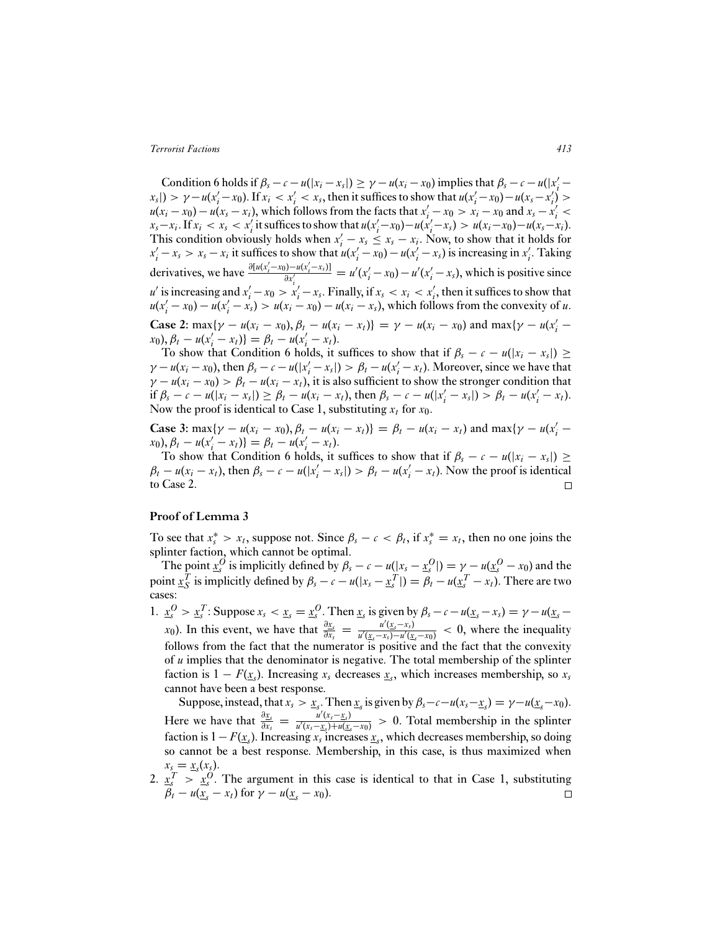Condition 6 holds if  $\beta_s - c - u(|x_i - x_s|) \ge \gamma - u(x_i - x_0)$  implies that  $\beta_s - c - u(|x_i| - x_0)$  $f(x_s|) > \gamma - u(x'_i - x_0)$ . If  $x_i < x'_i < x_s$ , then it suffices to show that  $u(x'_i - x_0) - u(x_s - x'_i) >$  $u(x_i - x_0) - u(x_s - x_i)$ , which follows from the facts that  $x'_i - x_0 > x_i - x_0$  and  $x_s - x'_i$  $x_s - x_i$ . If  $x_i < x_s < x'_i$  it suffices to show that  $u(x'_i - x_0) - u(x'_i - x_s) > u(x_i - x_0) - u(x_s - x_i)$ . This condition obviously holds when  $x'_i - x_s \leq x_s - x_i$ . Now, to show that it holds for  $x_i' - x_s > x_s - x_i$  it suffices to show that  $u(x_i' - x_0) - u(x_i' - x_s)$  is increasing in  $x_i'$ . Taking derivatives, we have  $\frac{\partial [u(x'_i - x_0) - u(x'_i - x_s)]}{\partial x'}$  $\frac{\partial u_i}{\partial x'_i} = u'(x'_i - x_0) - u'(x'_i - x_s)$ , which is positive since *u*<sup>*'*</sup> is increasing and  $x'_i - x_0 > x'_i - x_s$ . Finally, if  $x_s < x_i < x'_i$ , then it suffices to show that  $u(x'_i - x_0) - u(x'_i - x_s) > u(x_i - x_0) - u(x_i - x_s)$ , which follows from the convexity of *u*. **Case 2:** max{ $\gamma$  –  $u(x_i - x_0)$ ,  $\beta$ <sub>*t*</sub> –  $u(x_i - x_t)$ } =  $\gamma$  –  $u(x_i - x_0)$  and max{ $\gamma$  –  $u(x_i')$  $f(x_0), \beta_t - u(x'_i - x_t) = \beta_t - u(x'_i - x_t).$ 

To show that Condition 6 holds, it suffices to show that if  $\beta_s - c - u(|x_i - x_s|) \ge$  $\gamma - u(x_i - x_0)$ , then  $\beta_s - c - u(|x'_i - x_s|) > \beta_t - u(x'_i - x_t)$ . Moreover, since we have that  $\gamma - u(x_i - x_0) > \beta_t - u(x_i - x_t)$ , it is also sufficient to show the stronger condition that if  $\beta_s - c - u(|x_i - x_s|) \ge \beta_t - u(x_i - x_t)$ , then  $\beta_s - c - u(|x'_i - x_s|) > \beta_t - u(x'_i - x_t)$ . Now the proof is identical to Case 1, substituting  $x_t$  for  $x_0$ .

**Case 3:** max{ $\gamma$  –  $u(x_i - x_0)$ ,  $\beta_t$  –  $u(x_i - x_t)$ } =  $\beta_t$  –  $u(x_i - x_t)$  and max{ $\gamma$  –  $u(x_i')$  $f(x_0), \beta_t - u(x'_i - x_t) = \beta_t - u(x'_i - x_t).$ 

To show that Condition 6 holds, it suffices to show that if  $\beta_s - c - u(|x_i - x_s|) \ge$  $\beta_t - u(x_t - x_t)$ , then  $\beta_s - c - u(|x'_i - x_s|) > \beta_t - u(x'_i - x_t)$ . Now the proof is identical to Case 2.  $\Box$ 

# **Proof of Lemma 3**

To see that  $x_s^* > x_t$ , suppose not. Since  $\beta_s - c < \beta_t$ , if  $x_s^* = x_t$ , then no one joins the splinter faction, which cannot be optimal.

The point  $x_s^O$  is implicitly defined by  $\beta_s - c - u(|x_s - x_s^O|) = \gamma - u(x_s^O - x_0)$  and the point  $\underline{x}_S^T$  is implicitly defined by  $\beta_s - c - u(|x_s - \underline{x}_s^T|) = \beta_t - u(\underline{x}_s^T - x_t)$ . There are two cases:

1.  $x_s^O > x_s^T$ : Suppose  $x_s < x_s = x_s^O$ . Then  $x_s$  is given by  $\beta_s - c - u(x_s - x_s) = \gamma - u(x_s - x_s)$ *x*<sub>0</sub>). In this event, we have that  $\frac{\partial x}{\partial x_s} = \frac{u'(x_s - x_s)}{u'(x_s - x_s) - u'(x_s - x_0)} < 0$ , where the inequality follows from the fact that the numerator is positive and the fact that the convexity of *u* implies that the denominator is negative. The total membership of the splinter faction is  $1 - F(\underline{x}_s)$ . Increasing  $x_s$  decreases  $\underline{x}_s$ , which increases membership, so  $x_s$ cannot have been a best response.

Suppose, instead, that  $x_s > x_s$ . Then  $x_s$  is given by  $\beta_s - c - u(x_s - x_s) = \gamma - u(x_s - x_0)$ . Here we have that  $\frac{\partial x}{\partial x_s} = \frac{u'(x_s - x_s)}{u'(x_s - x_s) + u(x_s - x_0)} > 0$ . Total membership in the splinter faction is 1−*F*(*xs*). Increasing *xs* increases *xs*, which decreases membership, so doing so cannot be a best response. Membership, in this case, is thus maximized when  $x_s = \underline{x}_s(x_s).$ 

2.  $x_s^T$   $\rightarrow x_s^0$ . The argument in this case is identical to that in Case 1, substituting  $\beta_t - u(\underline{x}_s - x_t)$  for  $\gamma - u(\underline{x}_s - x_0)$ .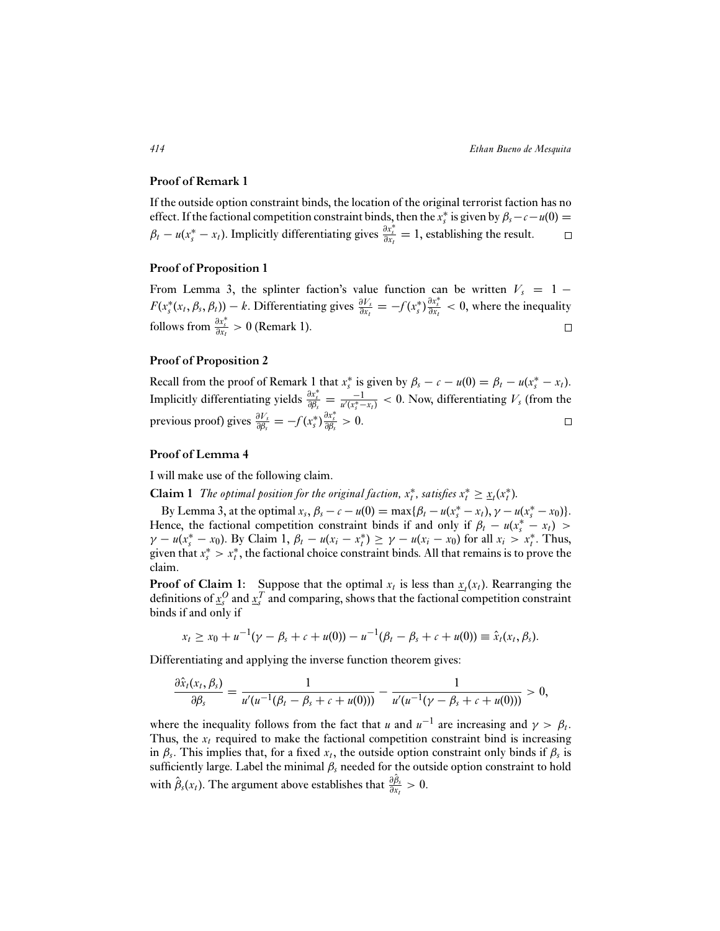# **Proof of Remark 1**

If the outside option constraint binds, the location of the original terrorist faction has no effect. If the factional competition constraint binds, then the  $x_s^*$  is given by  $\beta_s - c - u(0) =$  $\beta_t - u(x_s^* - x_t)$ . Implicitly differentiating gives  $\frac{\partial x_s^*}{\partial x_t} = 1$ , establishing the result.  $\Box$ 

## **Proof of Proposition 1**

From Lemma 3, the splinter faction's value function can be written  $V_s = 1 F(x_s^*(x_t, \beta_s, \beta_t)) - k$ . Differentiating gives  $\frac{\partial V_s}{\partial x_t} = -f(x_s^*) \frac{\partial x_s^*}{\partial x_t} < 0$ , where the inequality follows from  $\frac{\partial x_i^*}{\partial x_l} > 0$  (Remark 1).  $\Box$ 

## **Proof of Proposition 2**

Recall from the proof of Remark 1 that  $x_s^*$  is given by  $\beta_s - c - u(0) = \beta_t - u(x_s^* - x_t)$ . Implicitly differentiating yields  $\frac{\partial x_i^*}{\partial \beta_i} = \frac{-1}{u'(x_i^* - x_i)} < 0$ . Now, differentiating *V<sub>s</sub>* (from the previous proof) gives  $\frac{\partial V_s}{\partial \beta_s} = -f(x_s^*) \frac{\partial x_s^*}{\partial \beta_s} > 0$ .  $\Box$ 

#### **Proof of Lemma 4**

I will make use of the following claim.

**Claim 1** *The optimal position for the original faction,*  $x_t^*$ , *satisfies*  $x_t^* \geq x_t(x_t^*)$ *.* 

By Lemma 3, at the optimal  $x_s$ ,  $\beta_s - c - u(0) = \max{\{\beta_t - u(x_s^* - x_t), \gamma - u(x_s^* - x_0)\}}$ . Hence, the factional competition constraint binds if and only if  $\beta_t - u(x_s^* - x_t)$  $\gamma - u(x_s^* - x_0)$ . By Claim 1,  $\beta_t - u(x_i - x_t^*) \geq \gamma - u(x_i - x_0)$  for all  $x_i > x_t^*$ . Thus, given that  $x_s^* > x_t^*$ , the factional choice constraint binds. All that remains is to prove the claim.

**Proof of Claim 1:** Suppose that the optimal  $x_t$  is less than  $x_t(x_t)$ . Rearranging the definitions of  $\underline{x}_s^O$  and  $\underline{x}_s^T$  and comparing, shows that the factional competition constraint binds if and only if

$$
x_t \ge x_0 + u^{-1}(\gamma - \beta_s + c + u(0)) - u^{-1}(\beta_t - \beta_s + c + u(0)) \equiv \hat{x}_t(x_t, \beta_s).
$$

Differentiating and applying the inverse function theorem gives:

$$
\frac{\partial \hat{x}_t(x_t, \beta_s)}{\partial \beta_s} = \frac{1}{u'(u^{-1}(\beta_t - \beta_s + c + u(0)))} - \frac{1}{u'(u^{-1}(\gamma - \beta_s + c + u(0)))} > 0,
$$

where the inequality follows from the fact that *u* and  $u^{-1}$  are increasing and  $\gamma > \beta_t$ . Thus, the  $x_t$  required to make the factional competition constraint bind is increasing in  $\beta_s$ . This implies that, for a fixed  $x_t$ , the outside option constraint only binds if  $\beta_s$  is sufficiently large. Label the minimal β*<sup>s</sup>* needed for the outside option constraint to hold with  $\hat{\beta}_s(x_t)$ . The argument above establishes that  $\frac{\partial \hat{\beta}_s}{\partial x_t} > 0$ .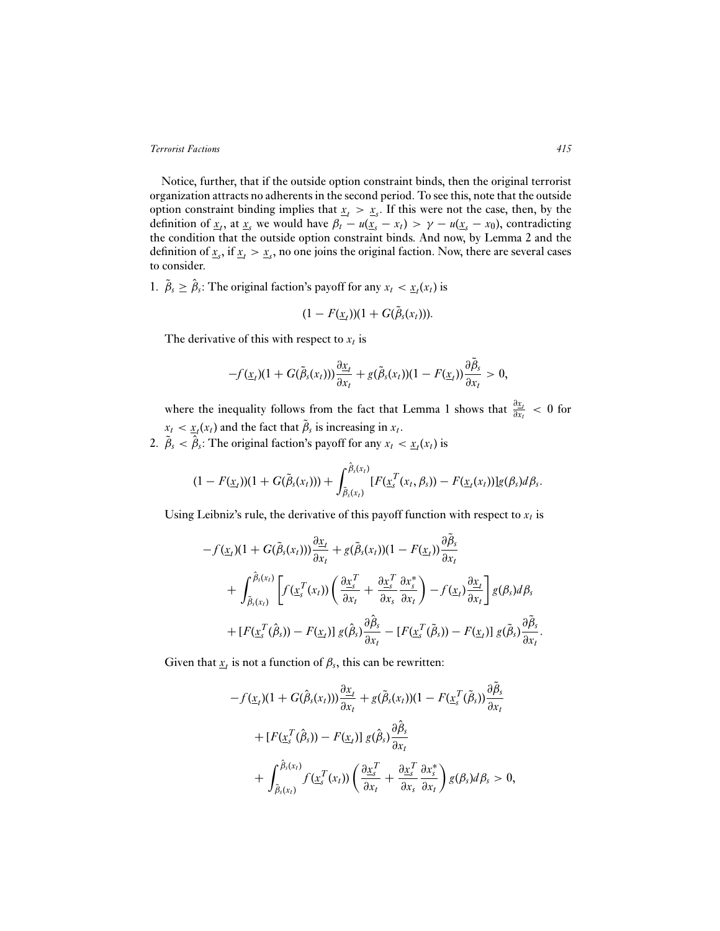Notice, further, that if the outside option constraint binds, then the original terrorist organization attracts no adherents in the second period. To see this, note that the outside option constraint binding implies that  $x_t > x_s$ . If this were not the case, then, by the definition of  $x_t$ , at  $x_s$  we would have  $\beta_t - u(x_s - x_t) > \gamma - u(x_s - x_0)$ , contradicting the condition that the outside option constraint binds. And now, by Lemma 2 and the definition of  $\underline{x}_s$ , if  $\underline{x}_t > \underline{x}_s$ , no one joins the original faction. Now, there are several cases to consider.

1.  $\tilde{\beta}_s \ge \hat{\beta}_s$ : The original faction's payoff for any  $x_t < x_t(x_t)$  is

$$
(1-F(\underline{x}_t))(1+G(\tilde{\beta}_s(x_t))).
$$

The derivative of this with respect to  $x_t$  is

$$
-f(\underline{x}_t)(1+G(\tilde{\beta}_s(x_t)))\frac{\partial \underline{x}_t}{\partial x_t}+g(\tilde{\beta}_s(x_t))(1-F(\underline{x}_t))\frac{\partial \tilde{\beta}_s}{\partial x_t}>0,
$$

where the inequality follows from the fact that Lemma 1 shows that  $\frac{\partial x_t}{\partial x_t} < 0$  for  $x_t < \underline{x}_t(x_t)$  and the fact that  $\tilde{\beta}_s$  is increasing in  $x_t$ .

2.  $\tilde{\beta}_s < \hat{\beta}_s$ : The original faction's payoff for any  $x_t < \underline{x}_t(x_t)$  is

$$
(1-F(\underline{x}_t))(1+G(\tilde{\beta}_s(x_t))) + \int_{\tilde{\beta}_s(x_t)}^{\hat{\beta}_s(x_t)} [F(\underline{x}_s^T(x_t,\beta_s)) - F(\underline{x}_t(x_t))]g(\beta_s)d\beta_s.
$$

Using Leibniz's rule, the derivative of this payoff function with respect to  $x_t$  is

$$
-f(\underline{x}_t)(1+G(\tilde{\beta}_s(x_t)))\frac{\partial \underline{x}_t}{\partial x_t} + g(\tilde{\beta}_s(x_t))(1-F(\underline{x}_t))\frac{\partial \tilde{\beta}_s}{\partial x_t} + \int_{\tilde{\beta}_s(x_t)}^{\hat{\beta}_s(x_t)} \left[ f(\underline{x}_s^T(x_t)) \left( \frac{\partial \underline{x}_s^T}{\partial x_t} + \frac{\partial \underline{x}_s^T}{\partial x_s} \frac{\partial x_s^*}{\partial x_t} \right) - f(\underline{x}_t) \frac{\partial \underline{x}_t}{\partial x_t} \right] g(\beta_s) d\beta_s + [F(\underline{x}_s^T(\hat{\beta}_s)) - F(\underline{x}_t)] g(\hat{\beta}_s) \frac{\partial \hat{\beta}_s}{\partial x_t} - [F(\underline{x}_s^T(\tilde{\beta}_s)) - F(\underline{x}_t)] g(\tilde{\beta}_s) \frac{\partial \tilde{\beta}_s}{\partial x_t}.
$$

Given that  $x_t$  is not a function of  $\beta_s$ , this can be rewritten:

$$
-f(\underline{x}_t)(1+G(\hat{\beta}_s(x_t)))\frac{\partial \underline{x}_t}{\partial x_t} + g(\tilde{\beta}_s(x_t))(1-F(\underline{x}_s^T(\tilde{\beta}_s))\frac{\partial \tilde{\beta}_s}{\partial x_t} + [F(\underline{x}_s^T(\hat{\beta}_s)) - F(\underline{x}_t)] g(\hat{\beta}_s)\frac{\partial \hat{\beta}_s}{\partial x_t} + \int_{\tilde{\beta}_s(x_t)}^{\tilde{\beta}_s(x_t)} f(\underline{x}_s^T(x_t)) \left(\frac{\partial \underline{x}_s^T}{\partial x_t} + \frac{\partial \underline{x}_s^T}{\partial x_s} \frac{\partial x_s^*}{\partial x_t}\right) g(\beta_s) d\beta_s > 0,
$$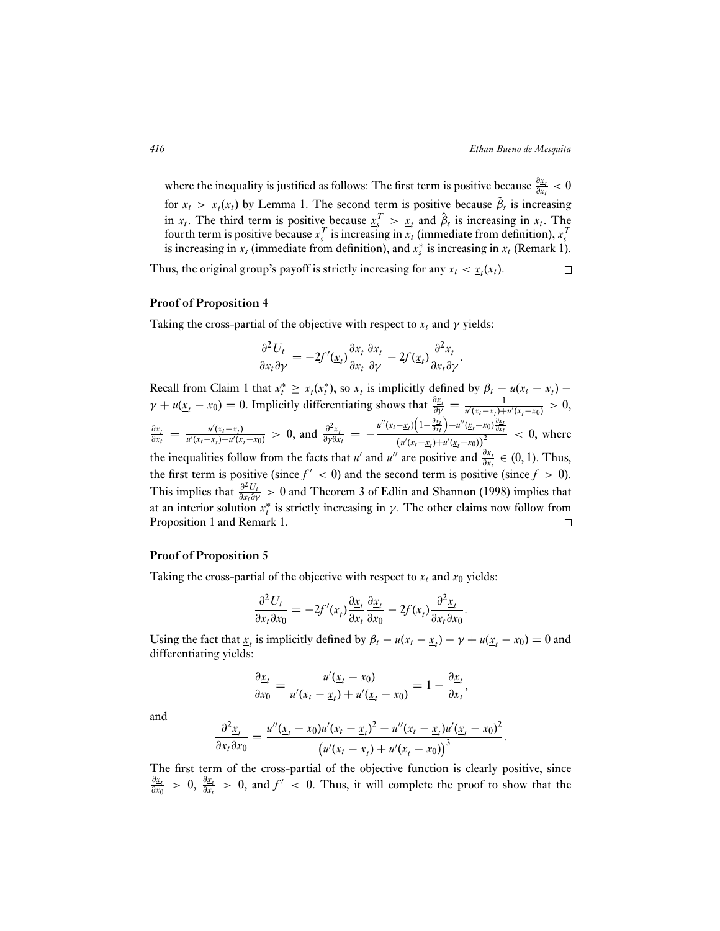where the inequality is justified as follows: The first term is positive because  $\frac{\partial x_t}{\partial x_t} < 0$ for  $x_t > x_t(x_t)$  by Lemma 1. The second term is positive because  $\beta_s$  is increasing in *x<sub>t</sub>*. The third term is positive because  $x_s^T > x_t$  and  $\hat{\beta}_s$  is increasing in *x<sub>t</sub>*. The fourth term is positive because  $x_s^T$  is increasing in  $\overline{x}_t$  (immediate from definition),  $x_s^T$ is increasing in  $x_s$  (immediate from definition), and  $x_s^*$  is increasing in  $x_t$  (Remark 1).

Thus, the original group's payoff is strictly increasing for any  $x_t < \underline{x}_t(x_t)$ .

 $\Box$ 

# **Proof of Proposition 4**

Taking the cross-partial of the objective with respect to  $x_t$  and  $\gamma$  yields:

$$
\frac{\partial^2 U_t}{\partial x_t \partial y} = -2f'(x_t) \frac{\partial x_t}{\partial x_t} \frac{\partial x_t}{\partial y} - 2f(x_t) \frac{\partial^2 x_t}{\partial x_t \partial y}.
$$

Recall from Claim 1 that  $x_t^* \geq x_t(x_t^*)$ , so  $x_t$  is implicitly defined by  $\beta_t - u(x_t - x_t)$  $\gamma + u(\underline{x}_t - x_0) = 0$ . Implicitly differentiating shows that  $\frac{\partial x_t}{\partial \gamma} = \frac{1}{u'(x_t - \underline{x}_t) + u'(x_t - x_0)} > 0$ ,  $\frac{\partial x_i}{\partial x_l} = \frac{u'(x_l - x_l)}{u'(x_l - x_l) + u'(x_l - x_0)} > 0$ , and  $\frac{\partial^2 x_i}{\partial y \partial x_l} = -\frac{u''(x_l - x_l)(1 - \frac{\partial x_l}{\partial x_l}) + u''(x_l - x_0) \frac{\partial x_l}{\partial x_l}}{(u'(x_l - x_l) + u'(x_l - x_0))^2}$  $\frac{d^{2}y}{(u'(x_t - x_t) + u'(x_t - x_0))^2}$  < 0, where the inequalities follow from the facts that *u'* and *u''* are positive and  $\frac{\partial x_t}{\partial x_t} \in (0, 1)$ . Thus, the first term is positive (since  $f' < 0$ ) and the second term is positive (since  $f > 0$ ). This implies that  $\frac{\partial^2 U_t}{\partial x_t \partial y} > 0$  and Theorem 3 of Edlin and Shannon (1998) implies that at an interior solution  $x_t^*$  is strictly increasing in  $\gamma$ . The other claims now follow from Proposition 1 and Remark 1.  $\Box$ 

## **Proof of Proposition 5**

Taking the cross-partial of the objective with respect to  $x_t$  and  $x_0$  yields:

$$
\frac{\partial^2 U_t}{\partial x_t \partial x_0} = -2f'(\underline{x}_t) \frac{\partial \underline{x}_t}{\partial x_t} \frac{\partial \underline{x}_t}{\partial x_0} - 2f(\underline{x}_t) \frac{\partial^2 \underline{x}_t}{\partial x_t \partial x_0}.
$$

Using the fact that  $x_t$  is implicitly defined by  $\beta_t - u(x_t - x_t) - \gamma + u(x_t - x_0) = 0$  and differentiating yields:

$$
\frac{\partial \underline{x}_t}{\partial x_0} = \frac{u'(\underline{x}_t - x_0)}{u'(x_t - \underline{x}_t) + u'(\underline{x}_t - x_0)} = 1 - \frac{\partial \underline{x}_t}{\partial x_t},
$$

and

$$
\frac{\partial^2 \underline{x}_t}{\partial x_t \partial x_0} = \frac{u''(\underline{x}_t - x_0)u'(x_t - \underline{x}_t)^2 - u''(x_t - \underline{x}_t)u'(\underline{x}_t - x_0)^2}{\left(u'(x_t - \underline{x}_t) + u'(\underline{x}_t - x_0)\right)^3}.
$$

The first term of the cross-partial of the objective function is clearly positive, since  $\frac{\partial x_i}{\partial x_0} > 0$ ,  $\frac{\partial x_i}{\partial x_i} > 0$ , and  $f' < 0$ . Thus, it will complete the proof to show that the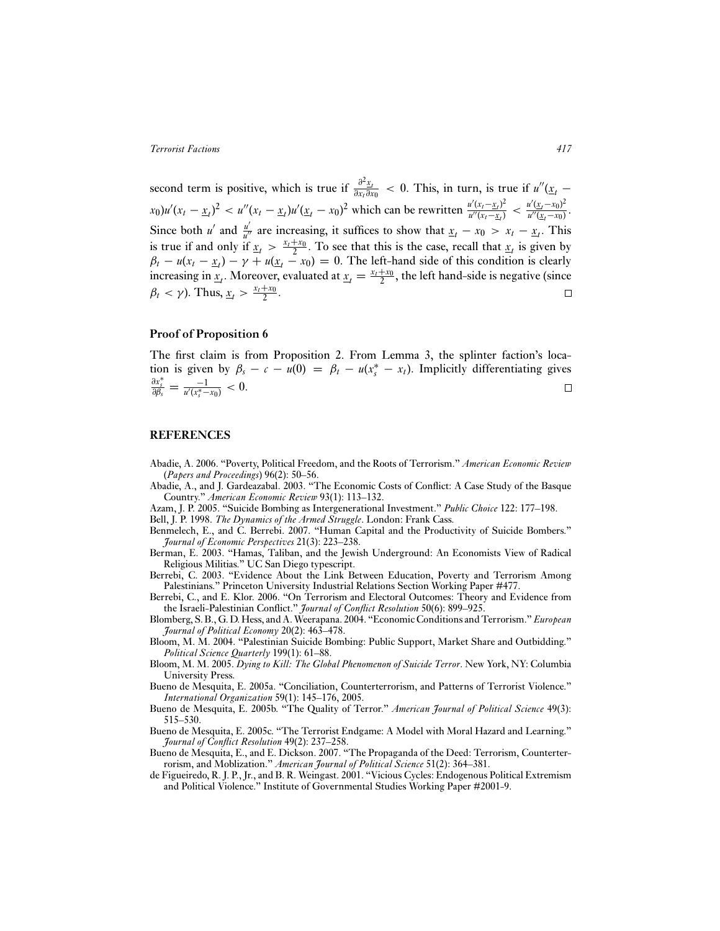second term is positive, which is true if  $\frac{\partial^2 x_i}{\partial x_i \partial x_0}$  < 0. This, in turn, is true if  $u''(\underline{x}_t (x_0)u'(x_t - \underline{x}_t)^2 < u''(x_t - \underline{x}_t)u'(\underline{x}_t - x_0)^2$  which can be rewritten  $\frac{u'(x_t - \underline{x}_t)^2}{u''(x_t - \underline{x}_t)} < \frac{u'(\underline{x}_t - x_0)^2}{u''(\underline{x}_t - x_0)}$ . Since both *u'* and  $\frac{u'}{u''}$  are increasing, it suffices to show that  $x_t - x_0 > x_t - x_t$ . This is true if and only if  $x_t > \frac{x_t + x_0}{2}$ . To see that this is the case, recall that  $x_t$  is given by  $\beta_t - u(x_t - x_t) - \gamma + u(x_t - x_0) = 0$ . The left-hand side of this condition is clearly increasing in  $\underline{x}_t$ . Moreover, evaluated at  $\underline{x}_t = \frac{x_t + x_0}{2}$ , the left hand-side is negative (since  $\beta_t < \gamma$ ). Thus,  $\underline{x}_t > \frac{x_t + x_0}{2}$ .  $\Box$ 

## **Proof of Proposition 6**

The first claim is from Proposition 2. From Lemma 3, the splinter faction's location is given by  $\beta_s - c - u(0) = \beta_t - u(x_s^* - x_t)$ . Implicitly differentiating gives  $\frac{\partial x_{s}^{*}}{\partial \beta_{s}} = \frac{-1}{u'(x_{s}^{*}-x_{0})} < 0.$  $\Box$ 

#### **REFERENCES**

- Abadie, A. 2006. "Poverty, Political Freedom, and the Roots of Terrorism." *American Economic Review* (*Papers and Proceedings*) 96(2): 50–56.
- Abadie, A., and J. Gardeazabal. 2003. "The Economic Costs of Conflict: A Case Study of the Basque Country." *American Economic Review* 93(1): 113–132.
- Azam, J. P. 2005. "Suicide Bombing as Intergenerational Investment." *Public Choice* 122: 177–198.

Bell, J. P. 1998. *The Dynamics of the Armed Struggle*. London: Frank Cass.

- Benmelech, E., and C. Berrebi. 2007. "Human Capital and the Productivity of Suicide Bombers." *Journal of Economic Perspectives* 21(3): 223–238.
- Berman, E. 2003. "Hamas, Taliban, and the Jewish Underground: An Economists View of Radical Religious Militias." UC San Diego typescript.
- Berrebi, C. 2003. "Evidence About the Link Between Education, Poverty and Terrorism Among Palestinians." Princeton University Industrial Relations Section Working Paper #477.
- Berrebi, C., and E. Klor. 2006. "On Terrorism and Electoral Outcomes: Theory and Evidence from the Israeli-Palestinian Conflict." *Journal of Conflict Resolution* 50(6): 899–925.
- Blomberg, S. B., G. D. Hess, and A.Weerapana. 2004. "Economic Conditions and Terrorism."*European Journal of Political Economy* 20(2): 463–478.
- Bloom, M. M. 2004. "Palestinian Suicide Bombing: Public Support, Market Share and Outbidding." *Political Science Quarterly* 199(1): 61–88.
- Bloom, M. M. 2005. *Dying to Kill: The Global Phenomenon of Suicide Terror*. New York, NY: Columbia University Press.
- Bueno de Mesquita, E. 2005a. "Conciliation, Counterterrorism, and Patterns of Terrorist Violence." *International Organization* 59(1): 145–176, 2005.
- Bueno de Mesquita, E. 2005b. "The Quality of Terror." *American Journal of Political Science* 49(3): 515–530.
- Bueno de Mesquita, E. 2005c. "The Terrorist Endgame: A Model with Moral Hazard and Learning." *Journal of Conflict Resolution* 49(2): 237–258.
- Bueno de Mesquita, E., and E. Dickson. 2007. "The Propaganda of the Deed: Terrorism, Counterterrorism, and Moblization." *American Journal of Political Science* 51(2): 364–381.
- de Figueiredo, R. J. P., Jr., and B. R. Weingast. 2001. "Vicious Cycles: Endogenous Political Extremism and Political Violence." Institute of Governmental Studies Working Paper #2001-9.